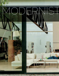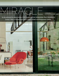PHOTOGRAPHY BY TONY LUONG

BY ROB DUCA

In an extensive renovation, S+H Construction integrates Paul Rudolph's iconic '50s architecture into a light-filled contemporary home.

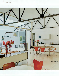**The** now-open kitchen, previously tucked owoy ond hidden, was relocated to the main room, bringing the design into modern times.

 $\blacktriangleleft$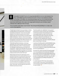**T REQUIRED THE ABILITY to take the long view when the homeowners first looked at the unique Cambridge house that would become theirs. Designed by modernist architect Paul Rudolph in the 1950s, this converted parking garage was literally built into the side of a hill, with large portions of the home buried below ground. The 3,500-square-foot house had cement-block walls, a flat rubber roof, single-glazed windows, poor insulation, dated wallpaper and evidence of water damage.** 

**"It was in pretty rough shape," says the wife. "The wiring and the plumbing were a mess. It all needed to be replaced."** 

The goal was to bring the house up to date by making it energy efficient and weathertight. And that would prove to be no simple task. "Like a lot of renovation projects, it's not what you see but what's behind what you don't see," says Will Ruhl, a principal at Ruhl Walker Architecture + Interiors. "Every time we dug a hole or removed something we found worse news than we expected. It was built to late-1950s standards, and we had to bring everything up to current codes."

There were significant obstacles, not the least being that much of the renovation was done during the snow-filled winter of 2015. "The site presented its challenges," says Doug Hanna, principal at S+H Construction. "There is just a little alley that goes back to the house, and though we could get our trucks back there, we started many days digging out the snow first. It was a cool job, but the winter was rough."

When workers removed the original glass wall at the front of the house, they discovered there was no footing to support the weight of the insulated, and much heavier, windows that would be installed. Even removal of the roof led to unpleasant surprises. "We found five layers of tar and gravel, so there was an enormous amount of material that had to be taken away," Hanna says. "We also had to do quite a bit of infrastructure improvements."

The below-grade room, labeled the "winter garden" by the previous owners, had a 60-year-old fiberglass roof that was covered in dirt and leaves from an overhanging maple tree, which meant that little light was filtering through. It was also uninsulated, rendering it useless for most of the year. The corrugated roof was replaced with translucent polycarbonate panels. "Now there is beautiful diffused light coming through," Ruhl says.

A heating and cooling system was also installed, along with high-density foam insulation, transforming the space into what is a now a library that houses the homeowners' collection of nearly 1,000 books and also serves as a guest bedroom.

The great room, which once had commercial garage doors, was updated by S+H Construction with fixed glass panels, transoms and triple-glazed sliding doors that provide access to an outside garden. "It has made the sofa our favorite spot in the house," says the wife. "It almost feels like you're sitting in the garden. It's quite gorgeous."

"It certainly was one of the more unique projects that we've done," Hanna says. "But we were able to overcome some unusual conditions and produce a very good project." **••**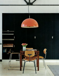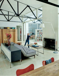The homeowners, who moved from a<br>brownstone in Boston's South End, maintain<br>that the home has changed their quality<br>of life "It gives us freedom and peace of<br>mind," the wife says. "It's unkness We feel<br>that this kind of ar want to live our lives. It is unencumbered and just has a lot of clarity."

mnin

**ANGINER**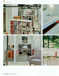